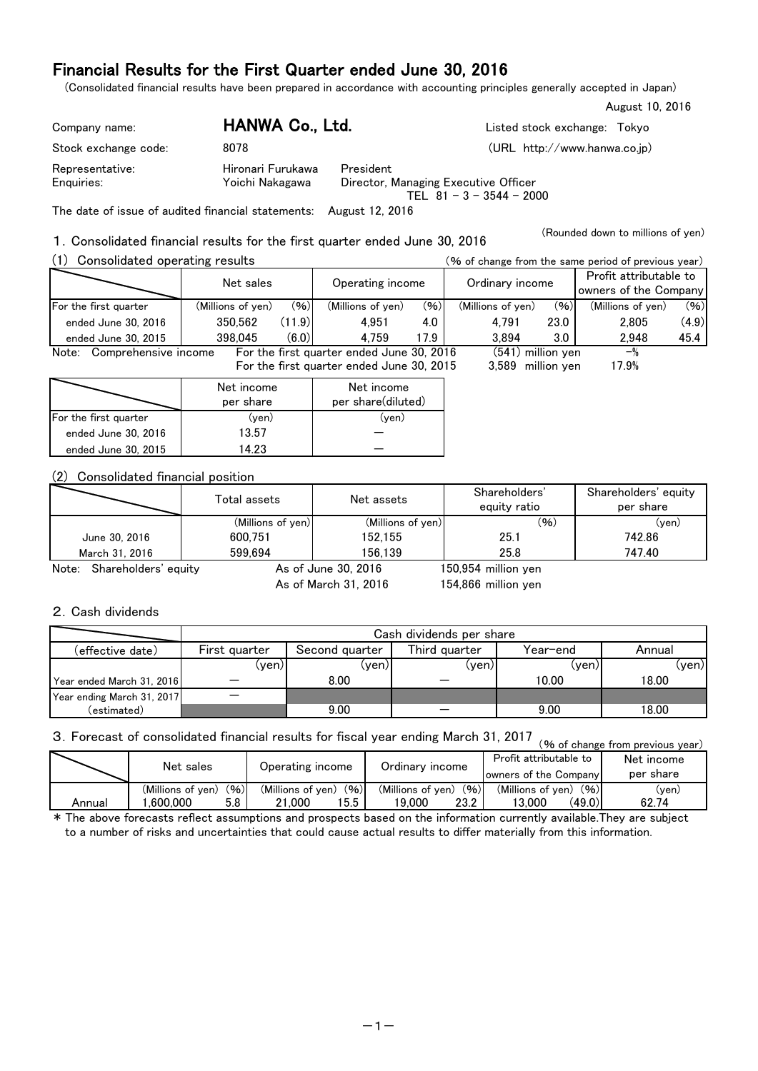## Financial Results for the First Quarter ended June 30, 2016

(Consolidated financial results have been prepared in accordance with accounting principles generally accepted in Japan)

| Company name:        | HANWA Co., Ltd.   | Listed stock exchange: Tokyo                                       |
|----------------------|-------------------|--------------------------------------------------------------------|
| Stock exchange code: | 8078              | (URL http://www.hanwa.co.jp)                                       |
| Representative:      | Hironari Furukawa | President                                                          |
| Enguiries:           | Yoichi Nakagawa   | Director, Managing Executive Officer<br>TEL $81 - 3 - 3544 - 2000$ |

The date of issue of audited financial statements: August 12, 2016

1.Consolidated financial results for the first quarter ended June 30, 2016

(1) Consolidated operating results (% of change from the same period of previous year) (Millions of yen) (%) (Millions of yen) (%) (Millions of yen) (%) (Millions of yen) (%) Note: Comprehensive income For the first quarter ended June 30, 2016 For the first quarter ended June 30, 2015  $-$ % 17.9% (541) 3,589 million yen 4,759 ended June 30, 2016 ended June 30, 2015 For the first quarter  $(11.9)$ Net sales Operating income Ordinary income Profit attributable to owners of the Company 350,562 398,045 4.0 (6.0) 4,951 17.9 3.0 45.4 2,948 4,791 3,894 2,805 23.0 (4.9)

|                       | Net income | Net income         |
|-----------------------|------------|--------------------|
|                       | per share  | per share(diluted) |
| For the first quarter | (yen)      | (ven)              |
| ended June 30, 2016   | 13.57      |                    |
| ended June 30, 2015   | 14 23      |                    |

### (2) Consolidated financial position

|                            | Total assets      | Net assets          | Shareholders'<br>equity ratio | Shareholders' equity<br>per share |  |  |
|----------------------------|-------------------|---------------------|-------------------------------|-----------------------------------|--|--|
|                            | (Millions of yen) | (Millions of yen)   | (96)                          | $(\mathsf{ven})$                  |  |  |
| June 30, 2016              | 600.751           | 152.155             | 25.1                          | 742.86                            |  |  |
| March 31, 2016             | 599.694           | 156.139             | 25.8                          | 747.40                            |  |  |
| Note: Shareholders' equity |                   | As of June 30, 2016 | 150,954 million yen           |                                   |  |  |

As of March 31, 2016

154,866 million yen

### 2.Cash dividends

|                            | Cash dividends per share |                |               |          |        |  |  |  |  |  |
|----------------------------|--------------------------|----------------|---------------|----------|--------|--|--|--|--|--|
| (effective date)           | First quarter            | Second quarter | Third quarter | Year-end | Annual |  |  |  |  |  |
|                            | (ven)                    | (yen)          | (yen)         | (yen)    | (ven)l |  |  |  |  |  |
| Year ended March 31, 2016  |                          | 8.00           |               | 10.00    | 18.00  |  |  |  |  |  |
| Year ending March 31, 2017 |                          |                |               |          |        |  |  |  |  |  |
| (estimated)                |                          | 9.00           |               | 9.00     | 18.00  |  |  |  |  |  |

# 3. Forecast of consolidated financial results for fiscal year ending March 31, 2017 (% of change from previous year)

|        | Net sales         |      | Operating income          | Ordinary income           | Profit attributable to<br>owners of the Company | Net income<br>per share |  |
|--------|-------------------|------|---------------------------|---------------------------|-------------------------------------------------|-------------------------|--|
|        | (Millions of ven) | (96) | (96)<br>(Millions of ven) | (96)<br>(Millions of ven) | (96)<br>(Millions of ven)                       | (yen)                   |  |
| Annual | .600.000          | 5.8  | 5.5<br>21.000             | 23.2<br>19.000            | (49.0)<br>13.000                                | 62.74                   |  |

\* The above forecasts reflect assumptions and prospects based on the information currently available.They are subject to a number of risks and uncertainties that could cause actual results to differ materially from this information.

August 10, 2016

(Rounded down to millions of yen)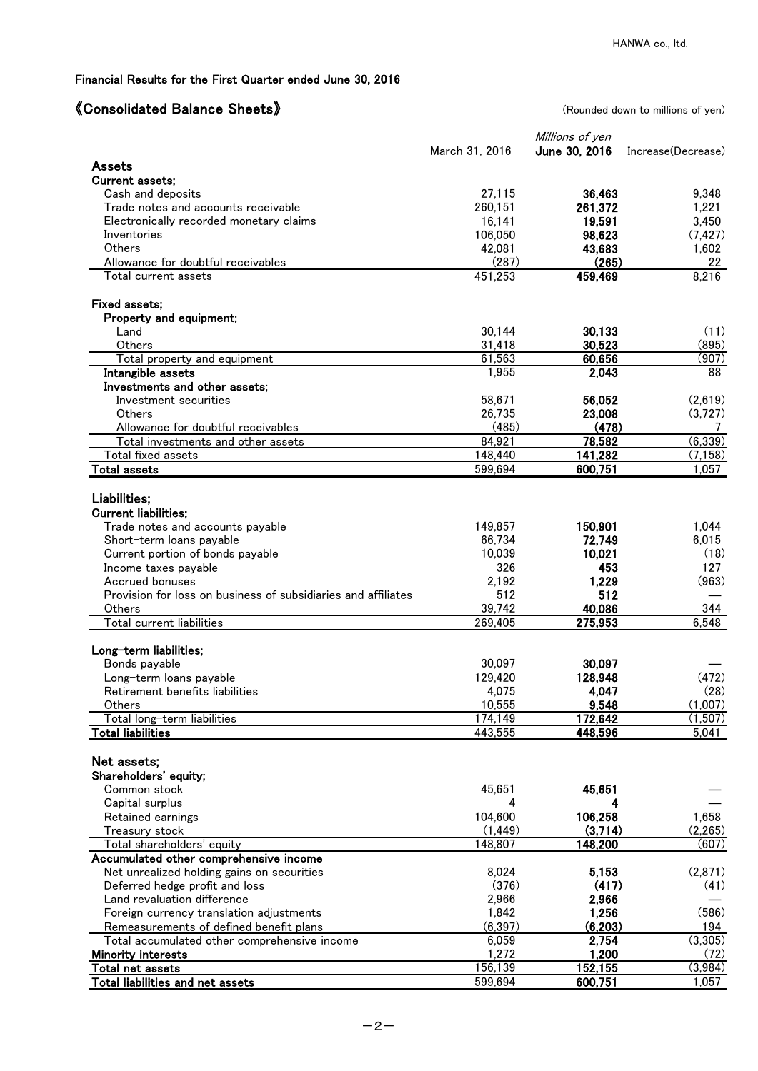## Financial Results for the First Quarter ended June 30, 2016

# 《Consolidated Balance Sheets》 (Rounded down to millions of yen)

|                                                               |                | Millions of yen |                    |
|---------------------------------------------------------------|----------------|-----------------|--------------------|
|                                                               | March 31, 2016 | June 30, 2016   | Increase(Decrease) |
| Assets                                                        |                |                 |                    |
| Current assets;                                               |                |                 |                    |
| Cash and deposits                                             | 27,115         | 36,463          | 9.348              |
| Trade notes and accounts receivable                           | 260,151        | 261,372         | 1,221              |
| Electronically recorded monetary claims                       | 16,141         | 19,591          | 3,450              |
| Inventories                                                   | 106,050        | 98,623          | (7, 427)           |
| <b>Others</b>                                                 | 42,081         | 43,683          | 1,602              |
| Allowance for doubtful receivables                            | (287)          | (265)           | 22                 |
| Total current assets                                          | 451,253        | 459,469         | 8,216              |
|                                                               |                |                 |                    |
| Fixed assets;                                                 |                |                 |                    |
| Property and equipment;                                       |                |                 |                    |
| Land                                                          | 30,144         | 30,133          | (11)               |
| Others                                                        | 31,418         | 30,523          | (895)              |
| Total property and equipment                                  | 61,563         | 60,656          | (907)              |
| Intangible assets                                             | 1,955          | 2,043           | 88                 |
| Investments and other assets:                                 |                |                 |                    |
| Investment securities                                         | 58,671         | 56,052          | (2,619)            |
| Others                                                        | 26,735         | 23,008          | (3,727)            |
| Allowance for doubtful receivables                            | (485)          | (478)           | 7                  |
| Total investments and other assets                            | 84,921         | 78,582          | (6, 339)           |
| Total fixed assets                                            | 148,440        | 141,282         | (7, 158)           |
| <b>Total assets</b>                                           | 599,694        | 600,751         | 1,057              |
| Liabilities;                                                  |                |                 |                    |
| <b>Current liabilities;</b>                                   |                |                 |                    |
| Trade notes and accounts payable                              | 149,857        | 150,901         | 1,044              |
|                                                               | 66,734         | 72,749          | 6,015              |
| Short-term loans payable                                      | 10,039         | 10,021          |                    |
| Current portion of bonds payable                              |                |                 | (18)               |
| Income taxes payable                                          | 326            | 453             | 127                |
| Accrued bonuses                                               | 2,192          | 1,229           | (963)              |
| Provision for loss on business of subsidiaries and affiliates | 512            | 512             |                    |
| Others                                                        | 39,742         | 40,086          | 344                |
| Total current liabilities                                     | 269,405        | 275,953         | 6,548              |
| Long-term liabilities;                                        |                |                 |                    |
| Bonds payable                                                 | 30,097         | 30,097          |                    |
| Long-term loans payable                                       | 129,420        | 128,948         | (472)              |
| Retirement benefits liabilities                               | 4,075          | 4,047           | (28)               |
| Others                                                        | 10,555         | 9,548           | (1,007)            |
| Total long-term liabilities                                   | 174,149        | 172,642         | (1,507)            |
| <b>Total liabilities</b>                                      | 443,555        | 448,596         | 5,041              |
|                                                               |                |                 |                    |
| Net assets;                                                   |                |                 |                    |
| Shareholders' equity;                                         |                |                 |                    |
| Common stock                                                  | 45,651         | 45,651          |                    |
| Capital surplus                                               | 4              | 4               |                    |
| Retained earnings                                             | 104,600        | 106,258         | 1,658              |
| Treasury stock                                                | (1, 449)       | (3,714)         | (2,265)            |
| Total shareholders' equity                                    | 148,807        | 148,200         | (607)              |
| Accumulated other comprehensive income                        |                |                 |                    |
| Net unrealized holding gains on securities                    | 8,024          | 5,153           | (2,871)            |
| Deferred hedge profit and loss                                | (376)          | (417)           | (41)               |
| Land revaluation difference                                   | 2,966          | 2,966           |                    |
| Foreign currency translation adjustments                      | 1,842          | 1,256           | (586)              |
| Remeasurements of defined benefit plans                       | (6, 397)       | (6, 203)        | 194                |
| Total accumulated other comprehensive income                  | 6,059          | 2,754           | (3,305)            |
| <b>Minority interests</b>                                     | 1,272          | 1,200           | (72)               |
| Total net assets                                              | 156,139        | 152,155         | (3,984)            |
| Total liabilities and net assets                              | 599,694        | 600,751         | 1,057              |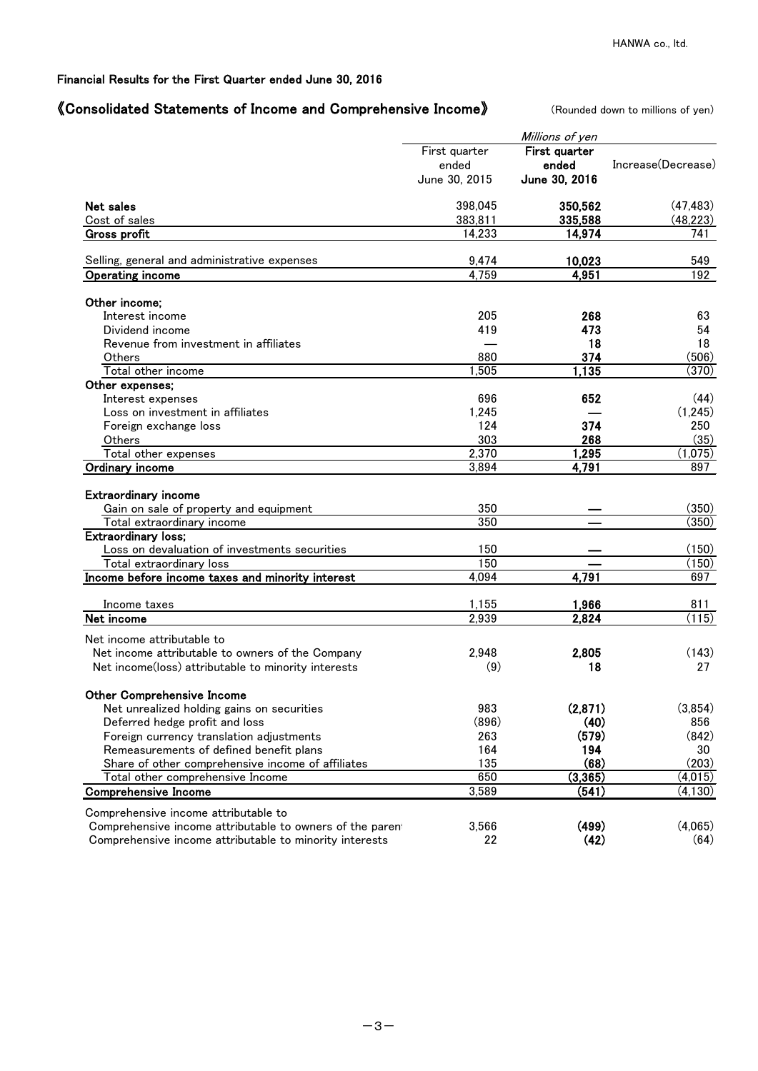### Financial Results for the First Quarter ended June 30, 2016

### 《Consolidated Statements of Income and Comprehensive Income》 (Rounded down to millions of yen)

|                                                                       |                | Millions of yen |                    |
|-----------------------------------------------------------------------|----------------|-----------------|--------------------|
|                                                                       | First quarter  | First quarter   |                    |
|                                                                       | ended          | ended           | Increase(Decrease) |
|                                                                       | June 30, 2015  | June 30, 2016   |                    |
| Net sales                                                             | 398,045        | 350,562         | (47, 483)          |
| Cost of sales                                                         | 383,811        | 335,588         | (48, 223)          |
| <b>Gross profit</b>                                                   | 14,233         | 14,974          | $\overline{741}$   |
| Selling, general and administrative expenses                          | 9,474          | 10,023          | 549                |
| <b>Operating income</b>                                               | 4,759          | 4,951           | 192                |
| Other income;                                                         |                |                 |                    |
| Interest income                                                       | 205            | 268             | 63                 |
| Dividend income                                                       | 419            | 473             | 54                 |
| Revenue from investment in affiliates                                 |                | 18              | 18                 |
| Others                                                                | 880            | 374             | (506)              |
| Total other income                                                    | 1,505          | 1,135           | (370)              |
| Other expenses;                                                       |                |                 |                    |
| Interest expenses                                                     | 696            | 652             | (44)               |
| Loss on investment in affiliates                                      | 1,245          |                 | (1, 245)           |
| Foreign exchange loss                                                 | 124            | 374             | 250                |
| Others                                                                | 303            | 268             | (35)               |
| Total other expenses                                                  | 2,370          | 1,295           | (1,075)            |
| Ordinary income                                                       | 3,894          | 4,791           | 897                |
| <b>Extraordinary income</b><br>Gain on sale of property and equipment | 350            |                 | (350)              |
| Total extraordinary income                                            | 350            |                 | (350)              |
| Extraordinary loss;                                                   |                |                 |                    |
| Loss on devaluation of investments securities                         | 150            |                 | (150)              |
| Total extraordinary loss                                              | 150            |                 | (150)              |
| Income before income taxes and minority interest                      | 4,094          | 4,791           | 697                |
|                                                                       |                |                 |                    |
| Income taxes                                                          | 1,155<br>2,939 | 1,966           | 811<br>(115)       |
| Net income                                                            |                | 2,824           |                    |
| Net income attributable to                                            |                |                 |                    |
| Net income attributable to owners of the Company                      | 2,948          | 2,805           | (143)              |
| Net income(loss) attributable to minority interests                   | (9)            | 18              | 27                 |
| <b>Other Comprehensive Income</b>                                     |                |                 |                    |
| Net unrealized holding gains on securities                            | 983            | (2,871)         | (3,854)            |
| Deferred hedge profit and loss                                        | (896)          | (40)            | 856                |
| Foreign currency translation adjustments                              | 263            | (579)           | (842)              |
| Remeasurements of defined benefit plans                               | 164            | 194             | 30                 |
| Share of other comprehensive income of affiliates                     | 135            | (68)            | (203)              |
| Total other comprehensive Income                                      | 650            | (3, 365)        | (4,015)            |
| Comprehensive Income                                                  | 3,589          | (541)           | (4, 130)           |
| Comprehensive income attributable to                                  |                |                 |                    |
| Comprehensive income attributable to owners of the parent             | 3,566          | (499)           | (4,065)            |
| Comprehensive income attributable to minority interests               | 22             | (42)            | (64)               |